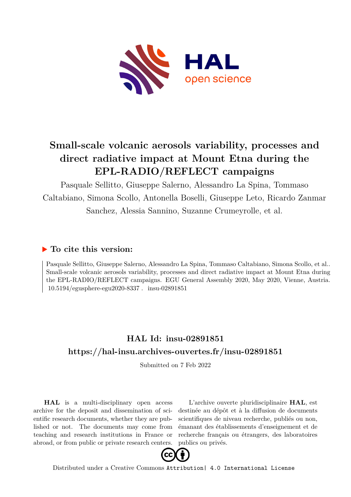

## **Small-scale volcanic aerosols variability, processes and direct radiative impact at Mount Etna during the EPL-RADIO/REFLECT campaigns**

Pasquale Sellitto, Giuseppe Salerno, Alessandro La Spina, Tommaso Caltabiano, Simona Scollo, Antonella Boselli, Giuseppe Leto, Ricardo Zanmar Sanchez, Alessia Sannino, Suzanne Crumeyrolle, et al.

## **To cite this version:**

Pasquale Sellitto, Giuseppe Salerno, Alessandro La Spina, Tommaso Caltabiano, Simona Scollo, et al.. Small-scale volcanic aerosols variability, processes and direct radiative impact at Mount Etna during the EPL-RADIO/REFLECT campaigns. EGU General Assembly 2020, May 2020, Vienne, Austria.  $10.5194$ /egusphere-egu2020-8337. insu-02891851

## **HAL Id: insu-02891851 <https://hal-insu.archives-ouvertes.fr/insu-02891851>**

Submitted on 7 Feb 2022

**HAL** is a multi-disciplinary open access archive for the deposit and dissemination of scientific research documents, whether they are published or not. The documents may come from teaching and research institutions in France or abroad, or from public or private research centers.

L'archive ouverte pluridisciplinaire **HAL**, est destinée au dépôt et à la diffusion de documents scientifiques de niveau recherche, publiés ou non, émanant des établissements d'enseignement et de recherche français ou étrangers, des laboratoires publics ou privés.



Distributed under a Creative Commons [Attribution| 4.0 International License](http://creativecommons.org/licenses/by/4.0/)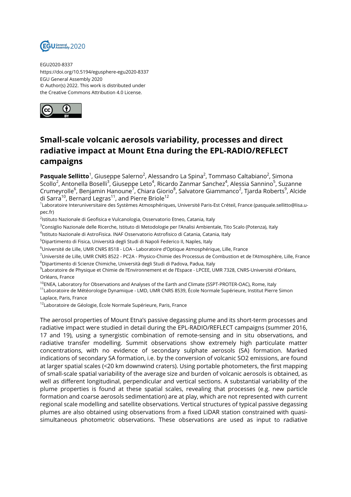

EGU2020-8337 https://doi.org/10.5194/egusphere-egu2020-8337 EGU General Assembly 2020 © Author(s) 2022. This work is distributed under the Creative Commons Attribution 4.0 License.



## **Small-scale volcanic aerosols variability, processes and direct radiative impact at Mount Etna during the EPL-RADIO/REFLECT campaigns**

**Pasquale Sellitto**<sup>1</sup>, Giuseppe Salerno<sup>2</sup>, Alessandro La Spina<sup>2</sup>, Tommaso Caltabiano<sup>2</sup>, Simona Scollo<sup>2</sup>, Antonella Boselli<sup>3</sup>, Giuseppe Leto<sup>4</sup>, Ricardo Zanmar Sanchez<sup>4</sup>, Alessia Sannino<sup>5</sup>, Suzanne Crumeyrolle<sup>6</sup>, Benjamin Hanoune<sup>7</sup>, Chiara Giorio<sup>8</sup>, Salvatore Giammanco<sup>2</sup>, Tjarda Roberts<sup>9</sup>, Alcide di Sarra<sup>10</sup>, Bernard Legras<sup>11</sup>, and Pierre Briole<sup>12</sup><br><sup>1</sup>Laboratoire Interuniversitaire des Systèmes Atmosphériques, Université Paris-Est Créteil, France (pasquale.sellitto@lisa.u-

pec.fr)

<sup>2</sup>lstituto Nazionale di Geofisica e Vulcanologia, Osservatorio Etneo, Catania, Italy

<sup>3</sup>Consiglio Nazionale delle Ricerche, Istituto di Metodologie per l'Analisi Ambientale, Tito Scalo (Potenza), Italy

4 Istituto Nazionale di AstroFisica. INAF Osservatorio Astrofisico di Catania, Catania, Italy

<sup>5</sup>Dipartimento di Fisica, Università degli Studi di Napoli Federico II, Naples, Italy

<sup>6</sup>Université de Lille, UMR CNRS 8518 - LOA - Laboratoire d'Optique Atmosphérique, Lille, France

<sup>7</sup>Université de Lille, UMR CNRS 8522 - PC2A - Physico-Chimie des Processus de Combustion et de l'Atmosphère, Lille, France <sup>8</sup>Dipartimento di Scienze Chimiche, Università degli Studi di Padova, Padua, Italy

9 Laboratoire de Physique et Chimie de l'Environnement et de l'Espace - LPCEE, UMR 7328, CNRS-Université d'Orléans, Orléans, France

<sup>10</sup>ENEA, Laboratory for Observations and Analyses of the Earth and Climate (SSPT-PROTER-OAC), Rome, Italy

<sup>11</sup> Laboratoire de Météorologie Dynamique - LMD, UMR CNRS 8539, École Normale Supérieure, Institut Pierre Simon Laplace, Paris, France

<sup>12</sup>Laboratoire de Géologie, École Normale Supérieure, Paris, France

The aerosol properties of Mount Etna's passive degassing plume and its short-term processes and radiative impact were studied in detail during the EPL-RADIO/REFLECT campaigns (summer 2016, 17 and 19), using a synergistic combination of remote-sensing and in situ observations, and radiative transfer modelling. Summit observations show extremely high particulate matter concentrations, with no evidence of secondary sulphate aerosols (SA) formation. Marked indications of secondary SA formation, i.e. by the conversion of volcanic SO2 emissions, are found at larger spatial scales (<20 km downwind craters). Using portable photometers, the first mapping of small-scale spatial variability of the average size and burden of volcanic aerosols is obtained, as well as different longitudinal, perpendicular and vertical sections. A substantial variability of the plume properties is found at these spatial scales, revealing that processes (e.g. new particle formation and coarse aerosols sedimentation) are at play, which are not represented with current regional scale modelling and satellite observations. Vertical structures of typical passive degassing plumes are also obtained using observations from a fixed LiDAR station constrained with quasisimultaneous photometric observations. These observations are used as input to radiative